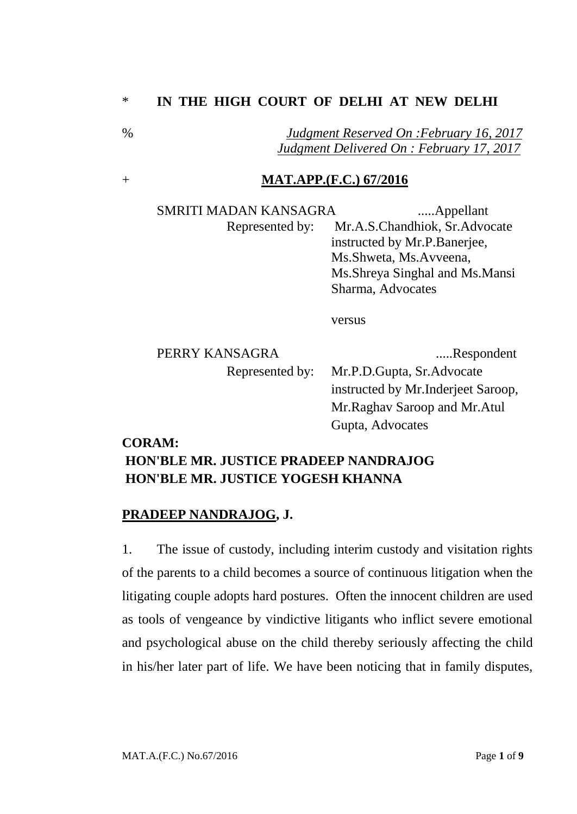### \* **IN THE HIGH COURT OF DELHI AT NEW DELHI**

% *Judgment Reserved On :February 16, 2017 Judgment Delivered On : February 17, 2017*

#### + **MAT.APP.(F.C.) 67/2016**

SMRITI MADAN KANSAGRA .......Appellant Represented by: Mr.A.S.Chandhiok, Sr.Advocate instructed by Mr.P.Banerjee, Ms.Shweta, Ms.Avveena, Ms.Shreya Singhal and Ms.Mansi Sharma, Advocates

versus

| PERRY KANSAGRA  | Respondent                          |
|-----------------|-------------------------------------|
| Represented by: | Mr.P.D.Gupta, Sr.Advocate           |
|                 | instructed by Mr. Inderjeet Saroop, |
|                 | Mr. Raghav Saroop and Mr. Atul      |
|                 | Gupta, Advocates                    |

#### **CORAM:**

# **HON'BLE MR. JUSTICE PRADEEP NANDRAJOG HON'BLE MR. JUSTICE YOGESH KHANNA**

#### **PRADEEP NANDRAJOG, J.**

1. The issue of custody, including interim custody and visitation rights of the parents to a child becomes a source of continuous litigation when the litigating couple adopts hard postures. Often the innocent children are used as tools of vengeance by vindictive litigants who inflict severe emotional and psychological abuse on the child thereby seriously affecting the child in his/her later part of life. We have been noticing that in family disputes,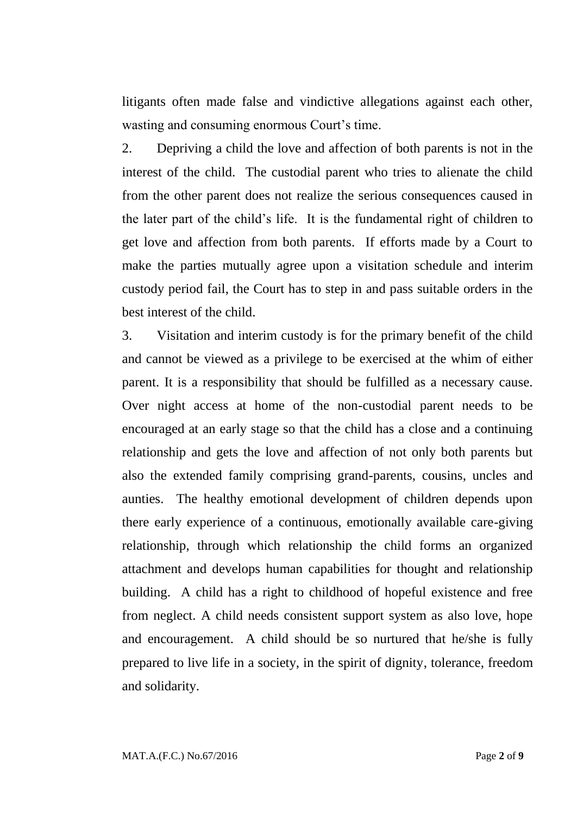litigants often made false and vindictive allegations against each other, wasting and consuming enormous Court's time.

2. Depriving a child the love and affection of both parents is not in the interest of the child. The custodial parent who tries to alienate the child from the other parent does not realize the serious consequences caused in the later part of the child's life. It is the fundamental right of children to get love and affection from both parents. If efforts made by a Court to make the parties mutually agree upon a visitation schedule and interim custody period fail, the Court has to step in and pass suitable orders in the best interest of the child.

3. Visitation and interim custody is for the primary benefit of the child and cannot be viewed as a privilege to be exercised at the whim of either parent. It is a responsibility that should be fulfilled as a necessary cause. Over night access at home of the non-custodial parent needs to be encouraged at an early stage so that the child has a close and a continuing relationship and gets the love and affection of not only both parents but also the extended family comprising grand-parents, cousins, uncles and aunties. The healthy emotional development of children depends upon there early experience of a continuous, emotionally available care-giving relationship, through which relationship the child forms an organized attachment and develops human capabilities for thought and relationship building. A child has a right to childhood of hopeful existence and free from neglect. A child needs consistent support system as also love, hope and encouragement. A child should be so nurtured that he/she is fully prepared to live life in a society, in the spirit of dignity, tolerance, freedom and solidarity.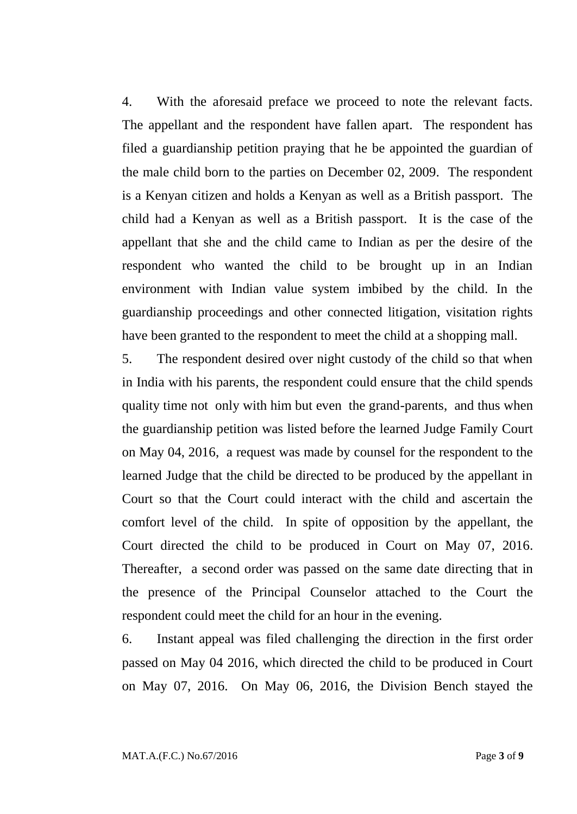4. With the aforesaid preface we proceed to note the relevant facts. The appellant and the respondent have fallen apart. The respondent has filed a guardianship petition praying that he be appointed the guardian of the male child born to the parties on December 02, 2009. The respondent is a Kenyan citizen and holds a Kenyan as well as a British passport. The child had a Kenyan as well as a British passport. It is the case of the appellant that she and the child came to Indian as per the desire of the respondent who wanted the child to be brought up in an Indian environment with Indian value system imbibed by the child. In the guardianship proceedings and other connected litigation, visitation rights have been granted to the respondent to meet the child at a shopping mall.

5. The respondent desired over night custody of the child so that when in India with his parents, the respondent could ensure that the child spends quality time not only with him but even the grand-parents, and thus when the guardianship petition was listed before the learned Judge Family Court on May 04, 2016, a request was made by counsel for the respondent to the learned Judge that the child be directed to be produced by the appellant in Court so that the Court could interact with the child and ascertain the comfort level of the child. In spite of opposition by the appellant, the Court directed the child to be produced in Court on May 07, 2016. Thereafter, a second order was passed on the same date directing that in the presence of the Principal Counselor attached to the Court the respondent could meet the child for an hour in the evening.

6. Instant appeal was filed challenging the direction in the first order passed on May 04 2016, which directed the child to be produced in Court on May 07, 2016. On May 06, 2016, the Division Bench stayed the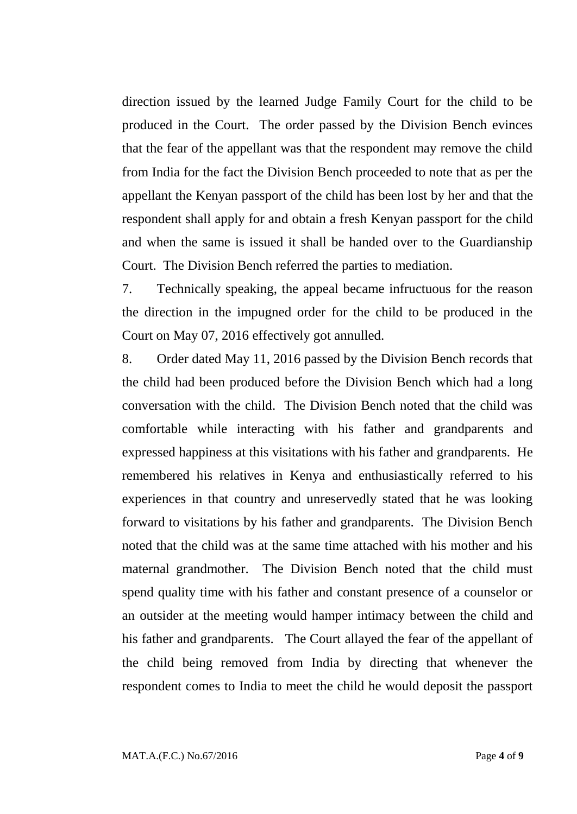direction issued by the learned Judge Family Court for the child to be produced in the Court. The order passed by the Division Bench evinces that the fear of the appellant was that the respondent may remove the child from India for the fact the Division Bench proceeded to note that as per the appellant the Kenyan passport of the child has been lost by her and that the respondent shall apply for and obtain a fresh Kenyan passport for the child and when the same is issued it shall be handed over to the Guardianship Court. The Division Bench referred the parties to mediation.

7. Technically speaking, the appeal became infructuous for the reason the direction in the impugned order for the child to be produced in the Court on May 07, 2016 effectively got annulled.

8. Order dated May 11, 2016 passed by the Division Bench records that the child had been produced before the Division Bench which had a long conversation with the child. The Division Bench noted that the child was comfortable while interacting with his father and grandparents and expressed happiness at this visitations with his father and grandparents. He remembered his relatives in Kenya and enthusiastically referred to his experiences in that country and unreservedly stated that he was looking forward to visitations by his father and grandparents. The Division Bench noted that the child was at the same time attached with his mother and his maternal grandmother. The Division Bench noted that the child must spend quality time with his father and constant presence of a counselor or an outsider at the meeting would hamper intimacy between the child and his father and grandparents. The Court allayed the fear of the appellant of the child being removed from India by directing that whenever the respondent comes to India to meet the child he would deposit the passport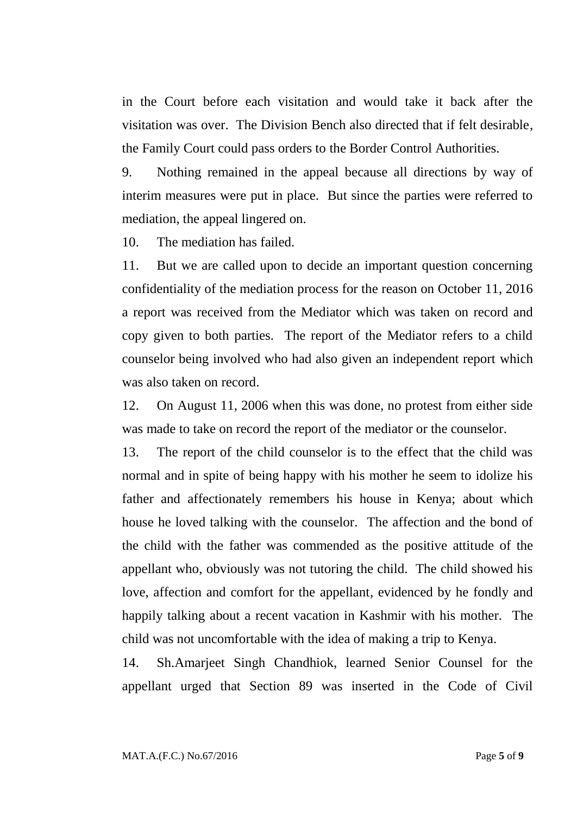in the Court before each visitation and would take it back after the visitation was over. The Division Bench also directed that if felt desirable, the Family Court could pass orders to the Border Control Authorities.

9. Nothing remained in the appeal because all directions by way of interim measures were put in place. But since the parties were referred to mediation, the appeal lingered on.

10. The mediation has failed.

11. But we are called upon to decide an important question concerning confidentiality of the mediation process for the reason on October 11, 2016 a report was received from the Mediator which was taken on record and copy given to both parties. The report of the Mediator refers to a child counselor being involved who had also given an independent report which was also taken on record.

12. On August 11, 2006 when this was done, no protest from either side was made to take on record the report of the mediator or the counselor.

13. The report of the child counselor is to the effect that the child was normal and in spite of being happy with his mother he seem to idolize his father and affectionately remembers his house in Kenya; about which house he loved talking with the counselor. The affection and the bond of the child with the father was commended as the positive attitude of the appellant who, obviously was not tutoring the child. The child showed his love, affection and comfort for the appellant, evidenced by he fondly and happily talking about a recent vacation in Kashmir with his mother. The child was not uncomfortable with the idea of making a trip to Kenya.

14. Sh.Amarjeet Singh Chandhiok, learned Senior Counsel for the appellant urged that Section 89 was inserted in the Code of Civil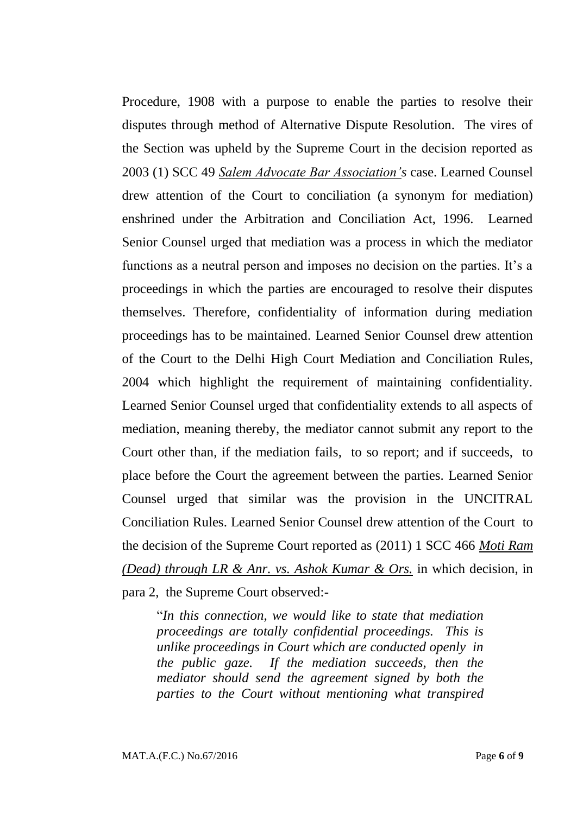Procedure, 1908 with a purpose to enable the parties to resolve their disputes through method of Alternative Dispute Resolution. The vires of the Section was upheld by the Supreme Court in the decision reported as 2003 (1) SCC 49 *Salem Advocate Bar Association's* case. Learned Counsel drew attention of the Court to conciliation (a synonym for mediation) enshrined under the Arbitration and Conciliation Act, 1996. Learned Senior Counsel urged that mediation was a process in which the mediator functions as a neutral person and imposes no decision on the parties. It's a proceedings in which the parties are encouraged to resolve their disputes themselves. Therefore, confidentiality of information during mediation proceedings has to be maintained. Learned Senior Counsel drew attention of the Court to the Delhi High Court Mediation and Conciliation Rules, 2004 which highlight the requirement of maintaining confidentiality. Learned Senior Counsel urged that confidentiality extends to all aspects of mediation, meaning thereby, the mediator cannot submit any report to the Court other than, if the mediation fails, to so report; and if succeeds, to place before the Court the agreement between the parties. Learned Senior Counsel urged that similar was the provision in the UNCITRAL Conciliation Rules. Learned Senior Counsel drew attention of the Court to the decision of the Supreme Court reported as (2011) 1 SCC 466 *Moti Ram (Dead) through LR & Anr. vs. Ashok Kumar & Ors.* in which decision, in para 2, the Supreme Court observed:-

"*In this connection, we would like to state that mediation proceedings are totally confidential proceedings. This is unlike proceedings in Court which are conducted openly in the public gaze. If the mediation succeeds, then the mediator should send the agreement signed by both the parties to the Court without mentioning what transpired*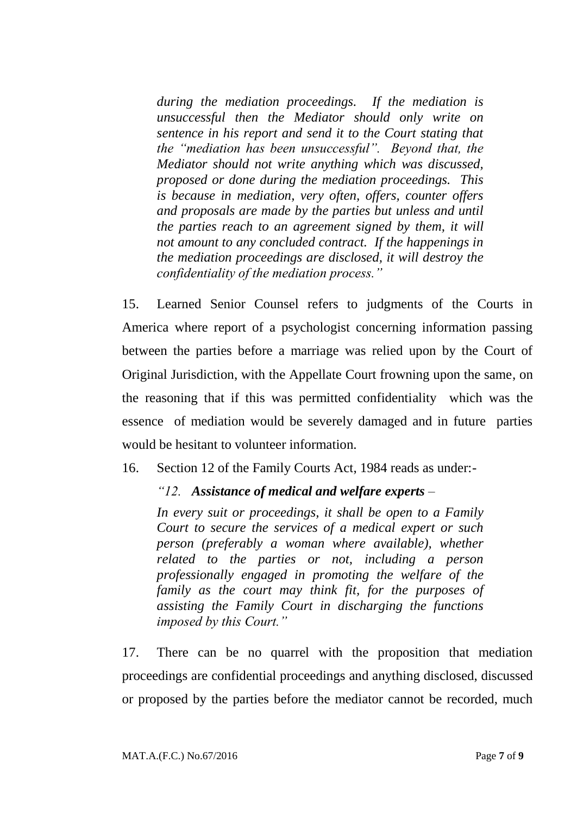*during the mediation proceedings. If the mediation is unsuccessful then the Mediator should only write on sentence in his report and send it to the Court stating that the "mediation has been unsuccessful". Beyond that, the Mediator should not write anything which was discussed, proposed or done during the mediation proceedings. This is because in mediation, very often, offers, counter offers and proposals are made by the parties but unless and until the parties reach to an agreement signed by them, it will not amount to any concluded contract. If the happenings in the mediation proceedings are disclosed, it will destroy the confidentiality of the mediation process."*

15. Learned Senior Counsel refers to judgments of the Courts in America where report of a psychologist concerning information passing between the parties before a marriage was relied upon by the Court of Original Jurisdiction, with the Appellate Court frowning upon the same, on the reasoning that if this was permitted confidentiality which was the essence of mediation would be severely damaged and in future parties would be hesitant to volunteer information.

16. Section 12 of the Family Courts Act, 1984 reads as under:-

## *"12. Assistance of medical and welfare experts –*

*In every suit or proceedings, it shall be open to a Family Court to secure the services of a medical expert or such person (preferably a woman where available), whether related to the parties or not, including a person professionally engaged in promoting the welfare of the family as the court may think fit, for the purposes of assisting the Family Court in discharging the functions imposed by this Court."*

17. There can be no quarrel with the proposition that mediation proceedings are confidential proceedings and anything disclosed, discussed or proposed by the parties before the mediator cannot be recorded, much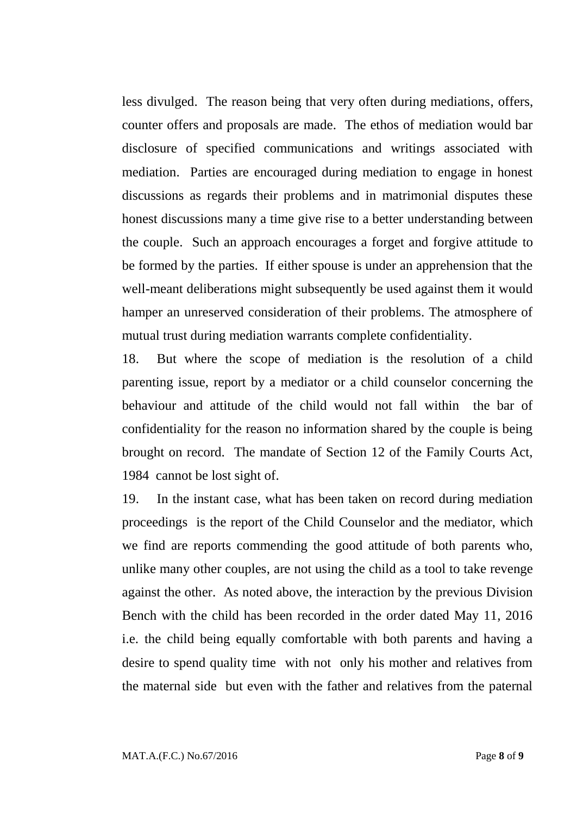less divulged. The reason being that very often during mediations, offers, counter offers and proposals are made. The ethos of mediation would bar disclosure of specified communications and writings associated with mediation. Parties are encouraged during mediation to engage in honest discussions as regards their problems and in matrimonial disputes these honest discussions many a time give rise to a better understanding between the couple. Such an approach encourages a forget and forgive attitude to be formed by the parties. If either spouse is under an apprehension that the well-meant deliberations might subsequently be used against them it would hamper an unreserved consideration of their problems. The atmosphere of mutual trust during mediation warrants complete confidentiality.

18. But where the scope of mediation is the resolution of a child parenting issue, report by a mediator or a child counselor concerning the behaviour and attitude of the child would not fall within the bar of confidentiality for the reason no information shared by the couple is being brought on record. The mandate of Section 12 of the Family Courts Act, 1984 cannot be lost sight of.

19. In the instant case, what has been taken on record during mediation proceedings is the report of the Child Counselor and the mediator, which we find are reports commending the good attitude of both parents who, unlike many other couples, are not using the child as a tool to take revenge against the other. As noted above, the interaction by the previous Division Bench with the child has been recorded in the order dated May 11, 2016 i.e. the child being equally comfortable with both parents and having a desire to spend quality time with not only his mother and relatives from the maternal side but even with the father and relatives from the paternal